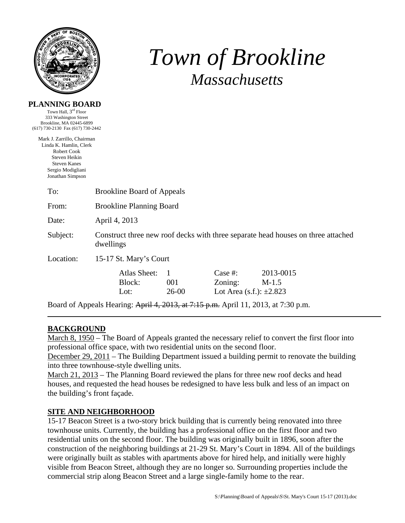

**PLANNING BOARD**  Town Hall, 3<sup>rd</sup> Floor

# *Town of Brookline Massachusetts*

| 333 Washington Street                |                                                                                               |           |                              |           |  |  |
|--------------------------------------|-----------------------------------------------------------------------------------------------|-----------|------------------------------|-----------|--|--|
| Brookline, MA 02445-6899             |                                                                                               |           |                              |           |  |  |
| (617) 730-2130 Fax (617) 730-2442    |                                                                                               |           |                              |           |  |  |
| Mark J. Zarrillo, Chairman           |                                                                                               |           |                              |           |  |  |
| Linda K. Hamlin, Clerk               |                                                                                               |           |                              |           |  |  |
| <b>Robert Cook</b>                   |                                                                                               |           |                              |           |  |  |
| Steven Heikin<br><b>Steven Kanes</b> |                                                                                               |           |                              |           |  |  |
| Sergio Modigliani                    |                                                                                               |           |                              |           |  |  |
| Jonathan Simpson                     |                                                                                               |           |                              |           |  |  |
|                                      |                                                                                               |           |                              |           |  |  |
| To:                                  | <b>Brookline Board of Appeals</b>                                                             |           |                              |           |  |  |
| From:                                | <b>Brookline Planning Board</b>                                                               |           |                              |           |  |  |
| Date:                                | April 4, 2013                                                                                 |           |                              |           |  |  |
|                                      |                                                                                               |           |                              |           |  |  |
| Subject:                             | Construct three new roof decks with three separate head houses on three attached<br>dwellings |           |                              |           |  |  |
| Location:                            | 15-17 St. Mary's Court                                                                        |           |                              |           |  |  |
|                                      | <b>Atlas Sheet:</b>                                                                           | 1         | Case $#$ :                   | 2013-0015 |  |  |
|                                      | Block:                                                                                        | 001       | Zoning:                      | $M-1.5$   |  |  |
|                                      | Lot:                                                                                          | $26 - 00$ | Lot Area (s.f.): $\pm 2.823$ |           |  |  |
|                                      | Board of Appeals Hearing: April 4, 2013, at 7:15 p.m. April 11, 2013, at 7:30 p.m.            |           |                              |           |  |  |

# **BACKGROUND**

March 8, 1950 – The Board of Appeals granted the necessary relief to convert the first floor into professional office space, with two residential units on the second floor.

December 29, 2011 – The Building Department issued a building permit to renovate the building into three townhouse-style dwelling units.

March 21, 2013 – The Planning Board reviewed the plans for three new roof decks and head houses, and requested the head houses be redesigned to have less bulk and less of an impact on the building's front façade.

## **SITE AND NEIGHBORHOOD**

15-17 Beacon Street is a two-story brick building that is currently being renovated into three townhouse units. Currently, the building has a professional office on the first floor and two residential units on the second floor. The building was originally built in 1896, soon after the construction of the neighboring buildings at 21-29 St. Mary's Court in 1894. All of the buildings were originally built as stables with apartments above for hired help, and initially were highly visible from Beacon Street, although they are no longer so. Surrounding properties include the commercial strip along Beacon Street and a large single-family home to the rear.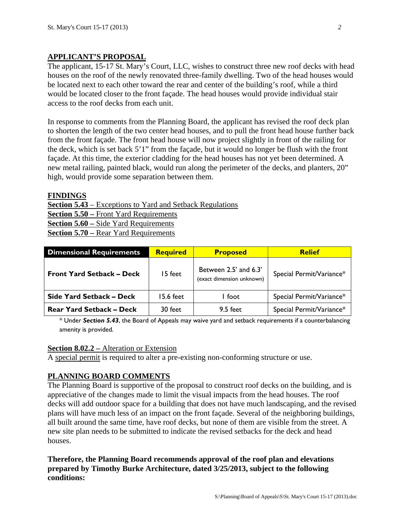## **APPLICANT'S PROPOSAL**

The applicant, 15-17 St. Mary's Court, LLC, wishes to construct three new roof decks with head houses on the roof of the newly renovated three-family dwelling. Two of the head houses would be located next to each other toward the rear and center of the building's roof, while a third would be located closer to the front façade. The head houses would provide individual stair access to the roof decks from each unit.

In response to comments from the Planning Board, the applicant has revised the roof deck plan to shorten the length of the two center head houses, and to pull the front head house further back from the front façade. The front head house will now project slightly in front of the railing for the deck, which is set back 5'1" from the façade, but it would no longer be flush with the front façade. At this time, the exterior cladding for the head houses has not yet been determined. A new metal railing, painted black, would run along the perimeter of the decks, and planters, 20" high, would provide some separation between them.

#### **FINDINGS**

**Section 5.43** – Exceptions to Yard and Setback Regulations **Section 5.50 –** Front Yard Requirements **Section 5.60 –** Side Yard Requirements **Section 5.70 –** Rear Yard Requirements

| <b>Dimensional Requirements</b>  | <b>Required</b> | <b>Proposed</b>                                    | <b>Relief</b>            |
|----------------------------------|-----------------|----------------------------------------------------|--------------------------|
| <b>Front Yard Setback – Deck</b> | 15 feet         | Between 2.5' and 6.3'<br>(exact dimension unknown) | Special Permit/Variance* |
| Side Yard Setback – Deck         | 15.6 feet       | I foot                                             | Special Permit/Variance* |
| <b>Rear Yard Setback – Deck</b>  | 30 feet         | 9.5 feet                                           | Special Permit/Variance* |

\* Under *Section 5.43*, the Board of Appeals may waive yard and setback requirements if a counterbalancing amenity is provided.

#### **Section 8.02.2 –** Alteration or Extension

A special permit is required to alter a pre-existing non-conforming structure or use.

## **PLANNING BOARD COMMENTS**

The Planning Board is supportive of the proposal to construct roof decks on the building, and is appreciative of the changes made to limit the visual impacts from the head houses. The roof decks will add outdoor space for a building that does not have much landscaping, and the revised plans will have much less of an impact on the front façade. Several of the neighboring buildings, all built around the same time, have roof decks, but none of them are visible from the street. A new site plan needs to be submitted to indicate the revised setbacks for the deck and head houses.

**Therefore, the Planning Board recommends approval of the roof plan and elevations prepared by Timothy Burke Architecture, dated 3/25/2013, subject to the following conditions:**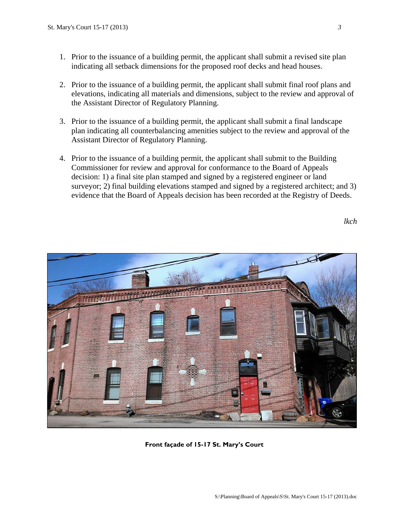- 1. Prior to the issuance of a building permit, the applicant shall submit a revised site plan indicating all setback dimensions for the proposed roof decks and head houses.
- 2. Prior to the issuance of a building permit, the applicant shall submit final roof plans and elevations, indicating all materials and dimensions, subject to the review and approval of the Assistant Director of Regulatory Planning.
- 3. Prior to the issuance of a building permit, the applicant shall submit a final landscape plan indicating all counterbalancing amenities subject to the review and approval of the Assistant Director of Regulatory Planning.
- 4. Prior to the issuance of a building permit, the applicant shall submit to the Building Commissioner for review and approval for conformance to the Board of Appeals decision: 1) a final site plan stamped and signed by a registered engineer or land surveyor; 2) final building elevations stamped and signed by a registered architect; and 3) evidence that the Board of Appeals decision has been recorded at the Registry of Deeds.

*lkch* 



**Front façade of 15-17 St. Mary's Court**